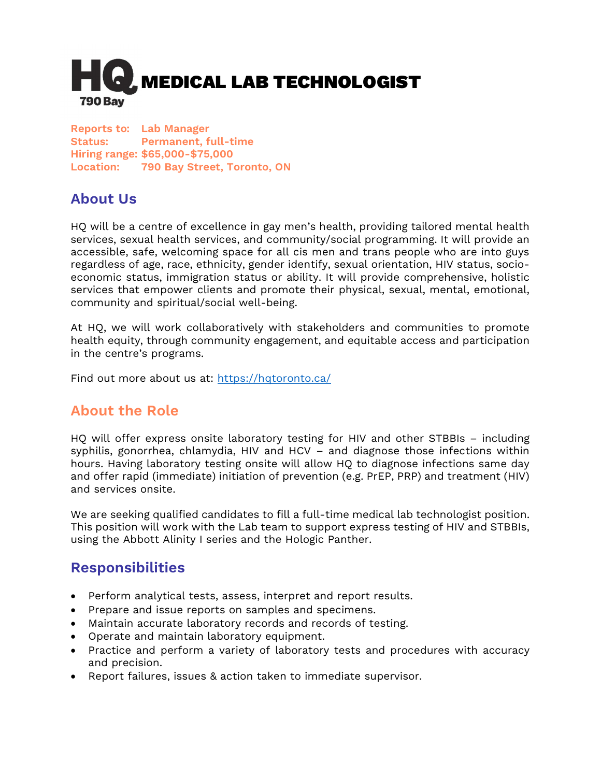

Reports to: Lab Manager Status: Permanent, full-time Hiring range: \$65,000-\$75,000 Location: 790 Bay Street, Toronto, ON

# About Us

HQ will be a centre of excellence in gay men's health, providing tailored mental health services, sexual health services, and community/social programming. It will provide an accessible, safe, welcoming space for all cis men and trans people who are into guys regardless of age, race, ethnicity, gender identify, sexual orientation, HIV status, socioeconomic status, immigration status or ability. It will provide comprehensive, holistic services that empower clients and promote their physical, sexual, mental, emotional, community and spiritual/social well-being.

At HQ, we will work collaboratively with stakeholders and communities to promote health equity, through community engagement, and equitable access and participation in the centre's programs.

Find out more about us at: https://hqtoronto.ca/

## About the Role

HQ will offer express onsite laboratory testing for HIV and other STBBIs – including syphilis, gonorrhea, chlamydia, HIV and HCV – and diagnose those infections within hours. Having laboratory testing onsite will allow HQ to diagnose infections same day and offer rapid (immediate) initiation of prevention (e.g. PrEP, PRP) and treatment (HIV) and services onsite.

We are seeking qualified candidates to fill a full-time medical lab technologist position. This position will work with the Lab team to support express testing of HIV and STBBIs, using the Abbott Alinity I series and the Hologic Panther.

#### Responsibilities

- Perform analytical tests, assess, interpret and report results.
- Prepare and issue reports on samples and specimens.
- Maintain accurate laboratory records and records of testing.
- Operate and maintain laboratory equipment.
- Practice and perform a variety of laboratory tests and procedures with accuracy and precision.
- Report failures, issues & action taken to immediate supervisor.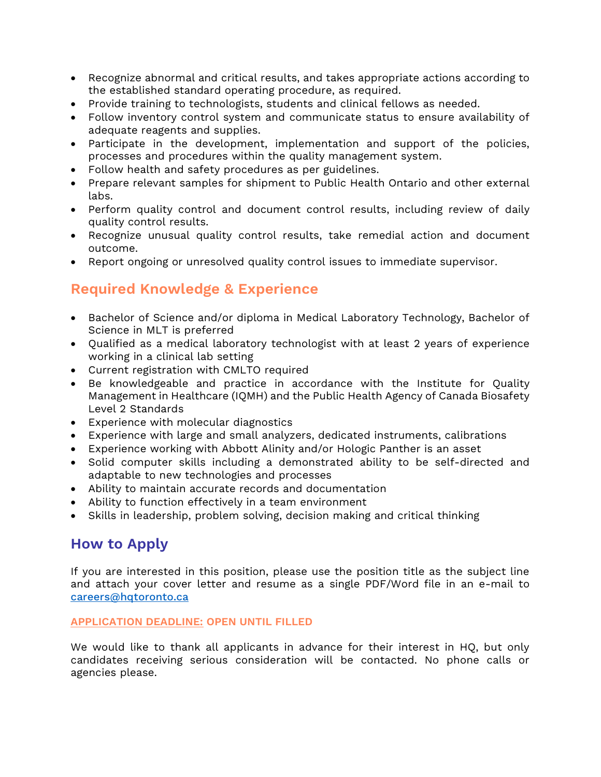- Recognize abnormal and critical results, and takes appropriate actions according to the established standard operating procedure, as required.
- Provide training to technologists, students and clinical fellows as needed.
- Follow inventory control system and communicate status to ensure availability of adequate reagents and supplies.
- Participate in the development, implementation and support of the policies, processes and procedures within the quality management system.
- Follow health and safety procedures as per guidelines.
- Prepare relevant samples for shipment to Public Health Ontario and other external labs.
- Perform quality control and document control results, including review of daily quality control results.
- Recognize unusual quality control results, take remedial action and document outcome.
- Report ongoing or unresolved quality control issues to immediate supervisor.

## Required Knowledge & Experience

- Bachelor of Science and/or diploma in Medical Laboratory Technology, Bachelor of Science in MLT is preferred
- Qualified as a medical laboratory technologist with at least 2 years of experience working in a clinical lab setting
- Current registration with CMLTO required
- Be knowledgeable and practice in accordance with the Institute for Quality Management in Healthcare (IQMH) and the Public Health Agency of Canada Biosafety Level 2 Standards
- Experience with molecular diagnostics
- Experience with large and small analyzers, dedicated instruments, calibrations
- Experience working with Abbott Alinity and/or Hologic Panther is an asset
- Solid computer skills including a demonstrated ability to be self-directed and adaptable to new technologies and processes
- Ability to maintain accurate records and documentation
- Ability to function effectively in a team environment
- Skills in leadership, problem solving, decision making and critical thinking

## How to Apply

If you are interested in this position, please use the position title as the subject line and attach your cover letter and resume as a single PDF/Word file in an e-mail to careers@hqtoronto.ca

#### APPLICATION DEADLINE: OPEN UNTIL FILLED

We would like to thank all applicants in advance for their interest in HQ, but only candidates receiving serious consideration will be contacted. No phone calls or agencies please.